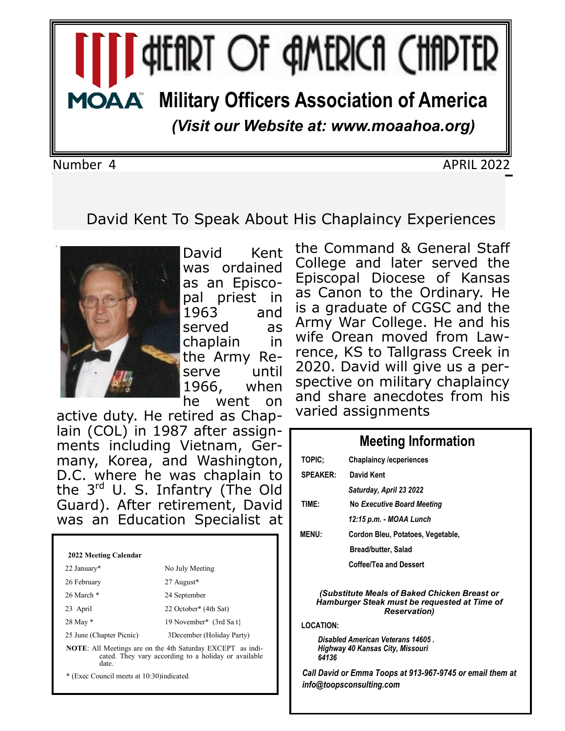# **I GHEART OF AMERICA CHAPTER MOAA** Military Officers Association of America

*(Visit our Website at: www.moaahoa.org)*

Number 4 APRIL 2022

## David Kent To Speak About His Chaplaincy Experiences



David Kent was ordained as an Episcopal priest in 1963 and served as chaplain in the Army Reserve until 1966, when he went on

active duty. He retired as Chaplain (COL) in 1987 after assignments including Vietnam, Germany, Korea, and Washington, D.C. where he was chaplain to the 3<sup>rd</sup> U. S. Infantry (The Old Guard). After retirement, David was an Education Specialist at

#### **2022 Meeting Calendar** 22 January\* No July Meeting 26 February 27 August\* 26 March \* 24 September 23 April 22 October\* (4th Sat) 28 May \* 19 November\* (3rd Sa t} 25 June (Chapter Picnic) 3December (Holiday Party) **NOTE**: All Meetings are on the 4th Saturday EXCEPT as indicated. They vary according to a holiday or available date. \* (Exec Council meets at 10:30)indicated

the Command & General Staff College and later served the Episcopal Diocese of Kansas as Canon to the Ordinary. He is a graduate of CGSC and the Army War College. He and his wife Orean moved from Lawrence, KS to Tallgrass Creek in 2020. David will give us a perspective on military chaplaincy and share anecdotes from his varied assignments

### **Meeting Information TOPIC; Chaplaincy /ecperiences SPEAKER: David Kent**  *Saturday, April 23 2022* **TIME: No** *Executive Board Meeting 12:15 p.m. - MOAA Lunch* **MENU: Cordon Bleu, Potatoes, Vegetable, Bread/butter, Salad Coffee/Tea and Dessert** *(Substitute Meals of Baked Chicken Breast or Hamburger Steak must be requested at Time of Reservation)* **LOCATION:**

*Disabled American Veterans 14605 . Highway 40 Kansas City, Missouri 64136*

*Call David or Emma Toops at 913-967-9745 or email them at info@toopsconsulting.com*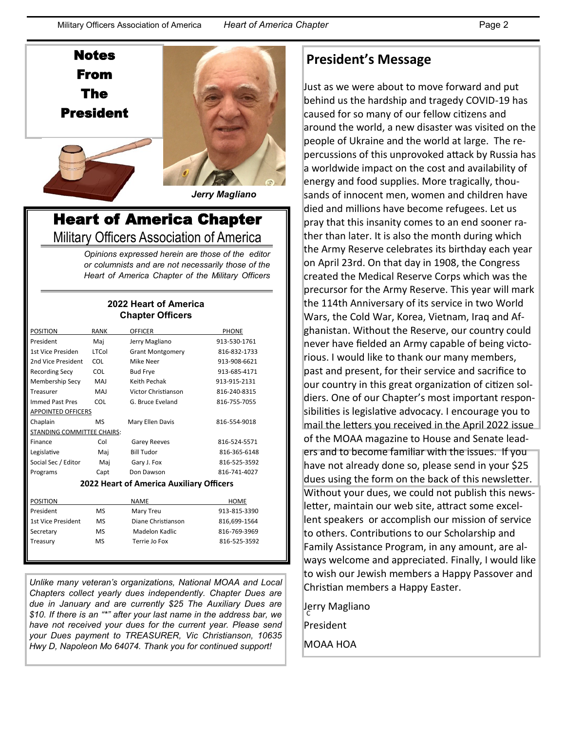Notes From The President





*Jerry Magliano*

## Heart of America Chapter Military Officers Association of America

*Opinions expressed herein are those of the editor or columnists and are not necessarily those of the Heart of America Chapter of the Military Officers* 

#### **2022 Heart of America Chapter Officers**

| <b>POSITION</b>            | <b>RANK</b> | <b>OFFICER</b>          | <b>PHONE</b> |  |
|----------------------------|-------------|-------------------------|--------------|--|
| President                  | Mai         | Jerry Magliano          | 913-530-1761 |  |
| 1st Vice Presiden          | LTCol       | <b>Grant Montgomery</b> | 816-832-1733 |  |
| 2nd Vice President         | COL         | Mike Neer               | 913-908-6621 |  |
| <b>Recording Secy</b>      | <b>COL</b>  | <b>Bud Frye</b>         | 913-685-4171 |  |
| <b>Membership Secy</b>     | MAJ         | Keith Pechak            | 913-915-2131 |  |
| Treasurer                  | MAJ         | Victor Christianson     | 816-240-8315 |  |
| <b>Immed Past Pres</b>     | COL         | G. Bruce Eveland        | 816-755-7055 |  |
| <b>APPOINTED OFFICERS</b>  |             |                         |              |  |
| Chaplain                   | MS          | Mary Ellen Davis        | 816-554-9018 |  |
| STANDING COMMITTEE CHAIRS: |             |                         |              |  |
| Finance                    | Col         | <b>Garey Reeves</b>     | 816-524-5571 |  |
| Legislative                | Mai         | <b>Bill Tudor</b>       | 816-365-6148 |  |
| Social Sec / Editor        | Mai         | Gary J. Fox             | 816-525-3592 |  |
| Programs                   | Capt        | Don Dawson              | 816-741-4027 |  |
|                            |             |                         |              |  |

#### **2022 Heart of America Auxiliary Officers**

| POSITION           |           | <b>NAME</b>        | HOME         |
|--------------------|-----------|--------------------|--------------|
| President          | MS        | Mary Treu          | 913-815-3390 |
| 1st Vice President | <b>MS</b> | Diane Christianson | 816,699-1564 |
| Secretary          | <b>MS</b> | Madelon Kadlic     | 816-769-3969 |
| Treasury           | <b>MS</b> | Terrie Jo Fox      | 816-525-3592 |
|                    |           |                    |              |

*Unlike many veteran's organizations, National MOAA and Local Chapters collect yearly dues independently. Chapter Dues are due in January and are currently \$25 The Auxiliary Dues are \$10. If there is an "\*" after your last name in the address bar, we have not received your dues for the current year. Please send your Dues payment to TREASURER, Vic Christianson, 10635 Hwy D, Napoleon Mo 64074. Thank you for continued support!*

## **President's Message**

 Without your dues, we could not publish this news-Just as we were about to move forward and put behind us the hardship and tragedy COVID-19 has caused for so many of our fellow citizens and around the world, a new disaster was visited on the people of Ukraine and the world at large. The repercussions of this unprovoked attack by Russia has a worldwide impact on the cost and availability of energy and food supplies. More tragically, thousands of innocent men, women and children have died and millions have become refugees. Let us pray that this insanity comes to an end sooner rather than later. It is also the month during which the Army Reserve celebrates its birthday each year on April 23rd. On that day in 1908, the Congress created the Medical Reserve Corps which was the precursor for the Army Reserve. This year will mark the 114th Anniversary of its service in two World Wars, the Cold War, Korea, Vietnam, Iraq and Afghanistan. Without the Reserve, our country could never have fielded an Army capable of being victorious. I would like to thank our many members, past and present, for their service and sacrifice to our country in this great organization of citizen soldiers. One of our Chapter's most important responsibilities is legislative advocacy. I encourage you to mail the letters you received in the April 2022 issue of the MOAA magazine to House and Senate leaders and to become familiar with the issues. If you have not already done so, please send in your \$25 dues using the form on the back of this newsletter. letter, maintain our web site, attract some excellent speakers or accomplish our mission of service to others. Contributions to our Scholarship and Family Assistance Program, in any amount, are always welcome and appreciated. Finally, I would like to wish our Jewish members a Happy Passover and Christian members a Happy Easter.

Jerry Magliano<br><sup>C</sup> President MOAA HOA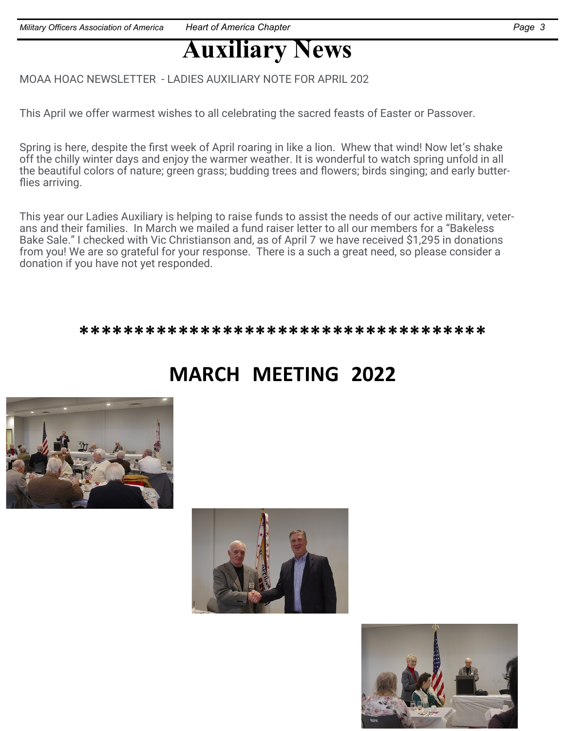# **Auxiliary News**

MOAA HOAC NEWSLETTER - LADIES AUXILIARY NOTE FOR APRIL 202

This April we offer warmest wishes to all celebrating the sacred feasts of Easter or Passover.

Spring is here, despite the first week of April roaring in like a lion. Whew that wind! Now let's shake off the chilly winter days and enjoy the warmer weather. It is wonderful to watch spring unfold in all the beautiful colors of nature; green grass; budding trees and flowers; birds singing; and early butterflies arriving.

This year our Ladies Auxiliary is helping to raise funds to assist the needs of our active military, veterans and their families. In March we mailed a fund raiser letter to all our members for a "Bakeless Bake Sale." I checked with Vic Christianson and, as of April 7 we have received \$1,295 in donations from you! We are so grateful for your response. There is a such a great need, so please consider a donation if you have not yet responded.

\*\*\*\*\*\*\*\*\*\*\*\*\*\*\*\*\*\*\*\*\*\*\*\*\*\*\*\*\*\*\*\*\*\*\*\*\*

# **MARCH MEETING 2022**